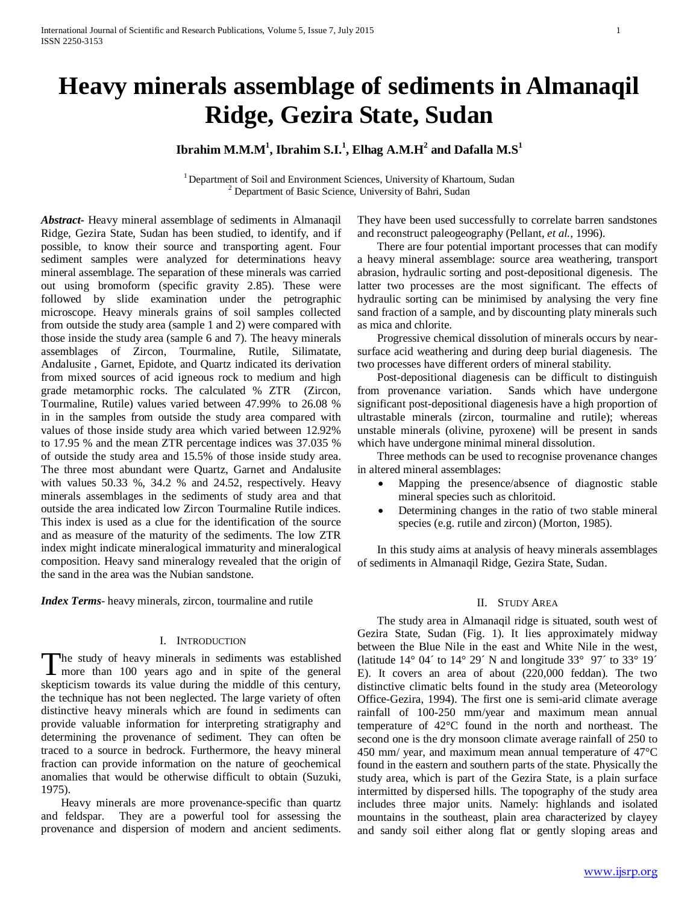# **Heavy minerals assemblage of sediments in Almanaqil Ridge, Gezira State, Sudan**

# $\mathbf{I}\mathbf{b}$ rahim  $\mathbf{M}.\mathbf{M}.\mathbf{M}^{1},$   $\mathbf{I}\mathbf{b}$ rahim  $\mathbf{S}.\mathbf{I}.\mathbf{I}^{1},$   $\mathbf{E}$ lhag  $\mathbf{A}.\mathbf{M}.\mathbf{H}^{2}$  and  $\mathbf{D}$ afalla  $\mathbf{M}.\mathbf{S}^{1}$

<sup>1</sup> Department of Soil and Environment Sciences, University of Khartoum, Sudan <sup>2</sup> Department of Basic Science, University of Bahri, Sudan

*Abstract***-** Heavy mineral assemblage of sediments in Almanaqil Ridge, Gezira State, Sudan has been studied, to identify, and if possible, to know their source and transporting agent. Four sediment samples were analyzed for determinations heavy mineral assemblage. The separation of these minerals was carried out using bromoform (specific gravity 2.85). These were followed by slide examination under the petrographic microscope. Heavy minerals grains of soil samples collected from outside the study area (sample 1 and 2) were compared with those inside the study area (sample 6 and 7). The heavy minerals assemblages of Zircon, Tourmaline, Rutile, Silimatate, Andalusite , Garnet, Epidote, and Quartz indicated its derivation from mixed sources of acid igneous rock to medium and high grade metamorphic rocks. The calculated % ZTR (Zircon, Tourmaline, Rutile) values varied between 47.99% to 26.08 % in in the samples from outside the study area compared with values of those inside study area which varied between 12.92% to 17.95 % and the mean ZTR percentage indices was 37.035 % of outside the study area and 15.5% of those inside study area. The three most abundant were Quartz, Garnet and Andalusite with values 50.33 %, 34.2 % and 24.52, respectively. Heavy minerals assemblages in the sediments of study area and that outside the area indicated low Zircon Tourmaline Rutile indices. This index is used as a clue for the identification of the source and as measure of the maturity of the sediments. The low ZTR index might indicate mineralogical immaturity and mineralogical composition. Heavy sand mineralogy revealed that the origin of the sand in the area was the Nubian sandstone.

*Index Terms*- heavy minerals, zircon, tourmaline and rutile

# I. INTRODUCTION

he study of heavy minerals in sediments was established The study of heavy minerals in sediments was established<br>more than 100 years ago and in spite of the general skepticism towards its value during the middle of this century, the technique has not been neglected. The large variety of often distinctive heavy minerals which are found in sediments can provide valuable information for interpreting stratigraphy and determining the provenance of sediment. They can often be traced to a source in bedrock. Furthermore, the heavy mineral fraction can provide information on the nature of geochemical anomalies that would be otherwise difficult to obtain (Suzuki, 1975).

 Heavy minerals are more provenance-specific than quartz and feldspar. They are a powerful tool for assessing the provenance and dispersion of modern and ancient sediments.

They have been used successfully to correlate barren sandstones and reconstruct paleogeography (Pellant, *et al.,* 1996).

 There are four potential important processes that can modify a heavy mineral assemblage: source area weathering, transport abrasion, hydraulic sorting and post-depositional digenesis. The latter two processes are the most significant. The effects of hydraulic sorting can be minimised by analysing the very fine sand fraction of a sample, and by discounting platy minerals such as mica and chlorite.

 Progressive chemical dissolution of minerals occurs by nearsurface acid weathering and during deep burial diagenesis. The two processes have different orders of mineral stability.

 Post-depositional diagenesis can be difficult to distinguish from provenance variation. Sands which have undergone significant post-depositional diagenesis have a high proportion of ultrastable minerals (zircon, tourmaline and rutile); whereas unstable minerals (olivine, pyroxene) will be present in sands which have undergone minimal mineral dissolution.

 Three methods can be used to recognise provenance changes in altered mineral assemblages:

- Mapping the presence/absence of diagnostic stable mineral species such as chloritoid.
- Determining changes in the ratio of two stable mineral species (e.g. rutile and zircon) (Morton, 1985).

 In this study aims at analysis of heavy minerals assemblages of sediments in Almanaqil Ridge, Gezira State, Sudan.

## II. STUDY AREA

 The study area in Almanaqil ridge is situated, south west of Gezira State, Sudan (Fig. 1). It lies approximately midway between the Blue Nile in the east and White Nile in the west, (latitude  $14^{\circ}$  04' to  $14^{\circ}$  29' N and longitude 33° 97' to 33° 19' E). It covers an area of about (220,000 feddan). The two distinctive climatic belts found in the study area (Meteorology Office-Gezira, 1994). The first one is semi-arid climate average rainfall of 100-250 mm/year and maximum mean annual temperature of 42°C found in the north and northeast. The second one is the dry monsoon climate average rainfall of 250 to 450 mm/ year, and maximum mean annual temperature of 47°C found in the eastern and southern parts of the state. Physically the study area, which is part of the Gezira State, is a plain surface intermitted by dispersed hills. The topography of the study area includes three major units. Namely: highlands and isolated mountains in the southeast, plain area characterized by clayey and sandy soil either along flat or gently sloping areas and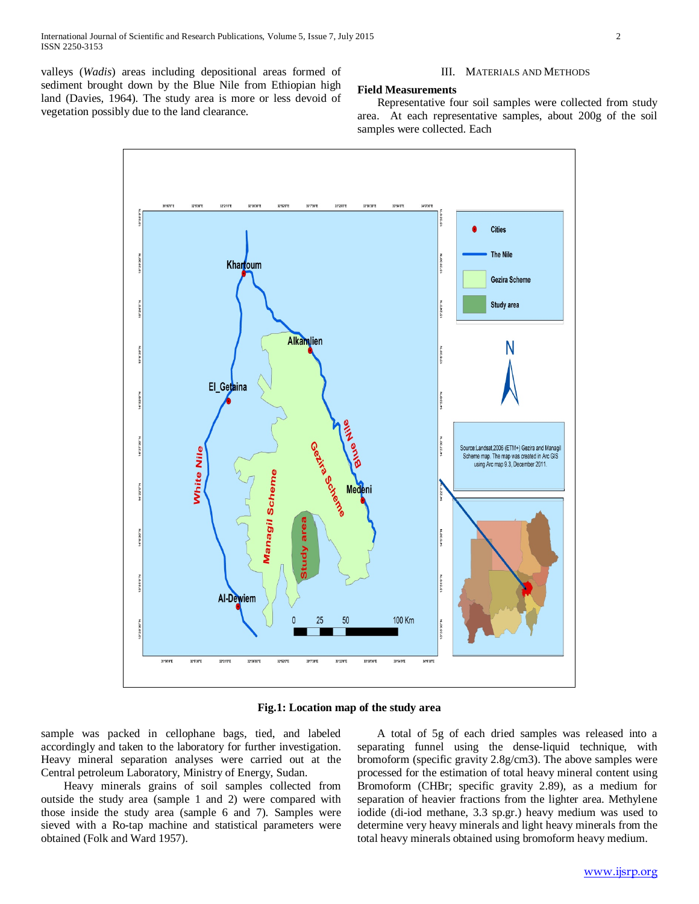valleys (*Wadis*) areas including depositional areas formed of sediment brought down by the Blue Nile from Ethiopian high land (Davies, 1964). The study area is more or less devoid of vegetation possibly due to the land clearance.

## III. MATERIALS AND METHODS

#### **Field Measurements**

 Representative four soil samples were collected from study area. At each representative samples, about 200g of the soil samples were collected. Each



**Fig.1: Location map of the study area**

sample was packed in cellophane bags, tied, and labeled accordingly and taken to the laboratory for further investigation. Heavy mineral separation analyses were carried out at the Central petroleum Laboratory, Ministry of Energy, Sudan.

 Heavy minerals grains of soil samples collected from outside the study area (sample 1 and 2) were compared with those inside the study area (sample 6 and 7). Samples were sieved with a Ro-tap machine and statistical parameters were obtained (Folk and Ward 1957).

 A total of 5g of each dried samples was released into a separating funnel using the dense-liquid technique, with bromoform (specific gravity 2.8g/cm3). The above samples were processed for the estimation of total heavy mineral content using Bromoform (CHBr; specific gravity 2.89), as a medium for separation of heavier fractions from the lighter area. Methylene iodide (di-iod methane, 3.3 sp.gr.) heavy medium was used to determine very heavy minerals and light heavy minerals from the total heavy minerals obtained using bromoform heavy medium.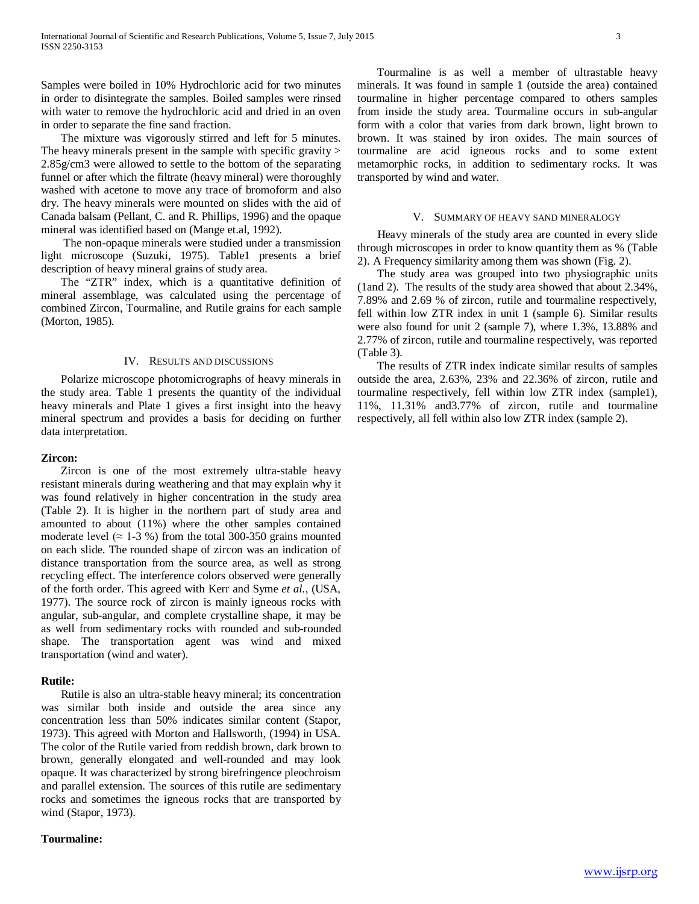Samples were boiled in 10% Hydrochloric acid for two minutes in order to disintegrate the samples. Boiled samples were rinsed with water to remove the hydrochloric acid and dried in an oven in order to separate the fine sand fraction.

 The mixture was vigorously stirred and left for 5 minutes. The heavy minerals present in the sample with specific gravity > 2.85g/cm3 were allowed to settle to the bottom of the separating funnel or after which the filtrate (heavy mineral) were thoroughly washed with acetone to move any trace of bromoform and also dry. The heavy minerals were mounted on slides with the aid of Canada balsam (Pellant, C. and R. Phillips, 1996) and the opaque mineral was identified based on (Mange et.al, 1992).

 The non-opaque minerals were studied under a transmission light microscope (Suzuki, 1975). Table1 presents a brief description of heavy mineral grains of study area.

 The "ZTR" index, which is a quantitative definition of mineral assemblage, was calculated using the percentage of combined Zircon, Tourmaline, and Rutile grains for each sample (Morton, 1985).

#### IV. RESULTS AND DISCUSSIONS

 Polarize microscope photomicrographs of heavy minerals in the study area. Table 1 presents the quantity of the individual heavy minerals and Plate 1 gives a first insight into the heavy mineral spectrum and provides a basis for deciding on further data interpretation.

## **Zircon:**

 Zircon is one of the most extremely ultra-stable heavy resistant minerals during weathering and that may explain why it was found relatively in higher concentration in the study area (Table 2). It is higher in the northern part of study area and amounted to about (11%) where the other samples contained moderate level ( $\approx$  1-3 %) from the total 300-350 grains mounted on each slide. The rounded shape of zircon was an indication of distance transportation from the source area, as well as strong recycling effect. The interference colors observed were generally of the forth order. This agreed with Kerr and Syme *et al.,* (USA, 1977). The source rock of zircon is mainly igneous rocks with angular, sub-angular, and complete crystalline shape, it may be as well from sedimentary rocks with rounded and sub-rounded shape. The transportation agent was wind and mixed transportation (wind and water).

## **Rutile:**

 Rutile is also an ultra-stable heavy mineral; its concentration was similar both inside and outside the area since any concentration less than 50% indicates similar content (Stapor, 1973). This agreed with Morton and Hallsworth, (1994) in USA. The color of the Rutile varied from reddish brown, dark brown to brown, generally elongated and well-rounded and may look opaque. It was characterized by strong birefringence pleochroism and parallel extension. The sources of this rutile are sedimentary rocks and sometimes the igneous rocks that are transported by wind (Stapor, 1973).

## **Tourmaline:**

 Tourmaline is as well a member of ultrastable heavy minerals. It was found in sample 1 (outside the area) contained tourmaline in higher percentage compared to others samples from inside the study area. Tourmaline occurs in sub-angular form with a color that varies from dark brown, light brown to brown. It was stained by iron oxides. The main sources of tourmaline are acid igneous rocks and to some extent metamorphic rocks, in addition to sedimentary rocks. It was transported by wind and water.

#### V. SUMMARY OF HEAVY SAND MINERALOGY

 Heavy minerals of the study area are counted in every slide through microscopes in order to know quantity them as % (Table 2). A Frequency similarity among them was shown (Fig. 2).

 The study area was grouped into two physiographic units (1and 2). The results of the study area showed that about 2.34%, 7.89% and 2.69 % of zircon, rutile and tourmaline respectively, fell within low ZTR index in unit 1 (sample 6). Similar results were also found for unit 2 (sample 7), where 1.3%, 13.88% and 2.77% of zircon, rutile and tourmaline respectively, was reported (Table 3).

 The results of ZTR index indicate similar results of samples outside the area, 2.63%, 23% and 22.36% of zircon, rutile and tourmaline respectively, fell within low ZTR index (sample1), 11%, 11.31% and3.77% of zircon, rutile and tourmaline respectively, all fell within also low ZTR index (sample 2).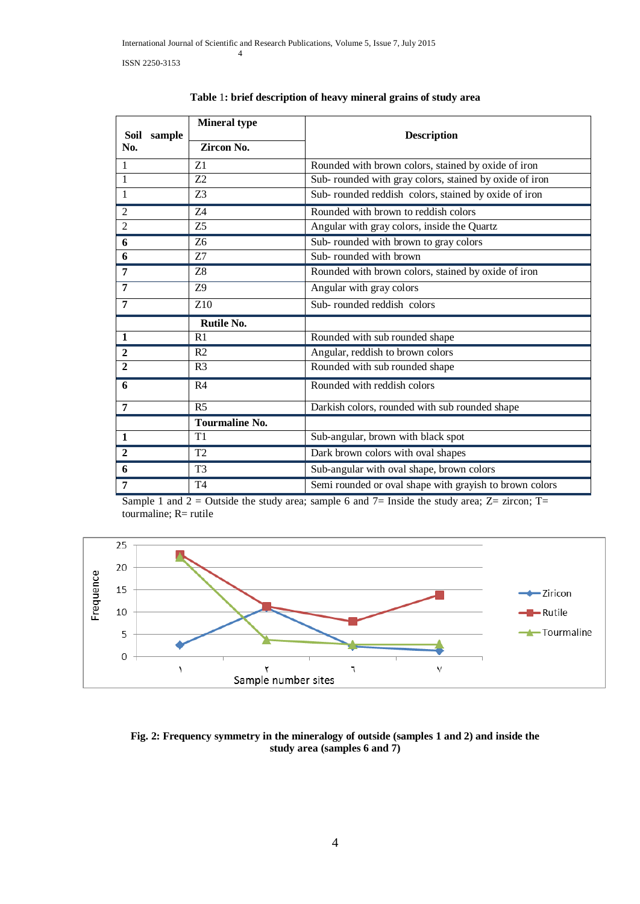| Soil sample<br>No. | <b>Mineral type</b><br>Zircon No. | <b>Description</b>                                      |  |  |  |  |
|--------------------|-----------------------------------|---------------------------------------------------------|--|--|--|--|
| $\mathbf{1}$       | Z1                                | Rounded with brown colors, stained by oxide of iron     |  |  |  |  |
| $\mathbf{1}$       | Z <sub>2</sub>                    | Sub- rounded with gray colors, stained by oxide of iron |  |  |  |  |
| $\mathbf{1}$       | Z <sub>3</sub>                    | Sub-rounded reddish colors, stained by oxide of iron    |  |  |  |  |
| $\overline{2}$     | Z <sub>4</sub>                    | Rounded with brown to reddish colors                    |  |  |  |  |
| $\overline{2}$     | Z5                                | Angular with gray colors, inside the Quartz             |  |  |  |  |
| 6                  | <b>Z<sub>6</sub></b>              | Sub-rounded with brown to gray colors                   |  |  |  |  |
| 6                  | Z7                                | Sub-rounded with brown                                  |  |  |  |  |
| $\overline{7}$     | Z8                                | Rounded with brown colors, stained by oxide of iron     |  |  |  |  |
| 7                  | <b>Z9</b>                         | Angular with gray colors                                |  |  |  |  |
| 7                  | Z <sub>10</sub>                   | Sub-rounded reddish colors                              |  |  |  |  |
|                    | <b>Rutile No.</b>                 |                                                         |  |  |  |  |
| $\mathbf{1}$       | R1                                | Rounded with sub rounded shape                          |  |  |  |  |
| $\overline{2}$     | R <sub>2</sub>                    | Angular, reddish to brown colors                        |  |  |  |  |
| $\overline{2}$     | R <sub>3</sub>                    | Rounded with sub rounded shape                          |  |  |  |  |
| 6                  | R <sub>4</sub>                    | Rounded with reddish colors                             |  |  |  |  |
| $\overline{7}$     | R <sub>5</sub>                    | Darkish colors, rounded with sub rounded shape          |  |  |  |  |
|                    | <b>Tourmaline No.</b>             |                                                         |  |  |  |  |
| $\mathbf{1}$       | T1                                | Sub-angular, brown with black spot                      |  |  |  |  |
| $\overline{2}$     | T <sub>2</sub>                    | Dark brown colors with oval shapes                      |  |  |  |  |
| 6                  | T <sub>3</sub>                    | Sub-angular with oval shape, brown colors               |  |  |  |  |
| 7                  | T4                                | Semi rounded or oval shape with grayish to brown colors |  |  |  |  |

|  |  |  |  |  |  | Table 1: brief description of heavy mineral grains of study area |
|--|--|--|--|--|--|------------------------------------------------------------------|
|--|--|--|--|--|--|------------------------------------------------------------------|

Sample 1 and  $2 =$  Outside the study area; sample 6 and  $7=$  Inside the study area; Z= zircon; T= tourmaline; R= rutile



**Fig. 2: Frequency symmetry in the mineralogy of outside (samples 1 and 2) and inside the study area (samples 6 and 7)**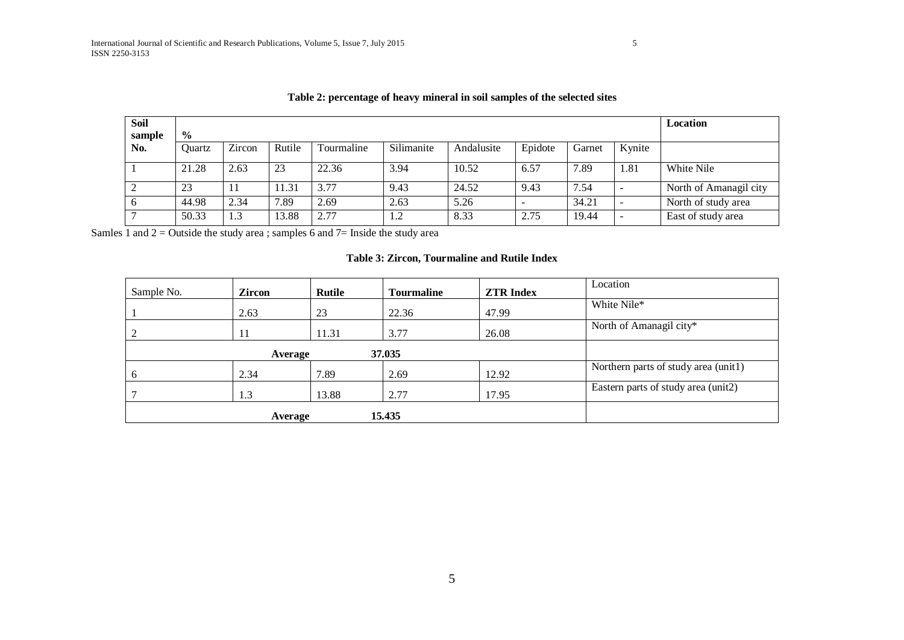| <b>Soil</b> |               |        |        |            |            |            |         |        |        | Location               |
|-------------|---------------|--------|--------|------------|------------|------------|---------|--------|--------|------------------------|
| sample      | $\frac{0}{0}$ |        |        |            |            |            |         |        |        |                        |
| No.         | Ouartz        | Zircon | Rutile | Tourmaline | Silimanite | Andalusite | Epidote | Garnet | Kynite |                        |
|             | 21.28         | 2.63   | 23     | 22.36      | 3.94       | 10.52      | 6.57    | 7.89   | 1.81   | White Nile             |
|             | 23            | 11     | 11.31  | 3.77       | 9.43       | 24.52      | 9.43    | 7.54   |        | North of Amanagil city |
|             | 44.98         | 2.34   | 7.89   | 2.69       | 2.63       | 5.26       |         | 34.21  | -      | North of study area    |
|             | 50.33         | 1.3    | 13.88  | 2.77       | 1.2        | 8.33       | 2.75    | 19.44  |        | East of study area     |

Samles  $\overline{1}$  and  $\overline{2}$  = Outside the study area ; samples 6 and  $\overline{7}$  = Inside the study area

# **Table 3: Zircon, Tourmaline and Rutile Index**

| Sample No. | <b>Zircon</b> | Rutile | Tourmaline | <b>ZTR Index</b> | Location                             |
|------------|---------------|--------|------------|------------------|--------------------------------------|
|            | 2.63          | 23     | 22.36      | 47.99            | White Nile*                          |
|            | 11            | 11.31  | 3.77       | 26.08            | North of Amanagil city*              |
|            | Average       |        |            |                  |                                      |
| O          | 2.34          | 7.89   | 2.69       | 12.92            | Northern parts of study area (unit1) |
|            | 1.3           | 13.88  | 2.77       | 17.95            | Eastern parts of study area (unit2)  |
|            | Average       |        | 15.435     |                  |                                      |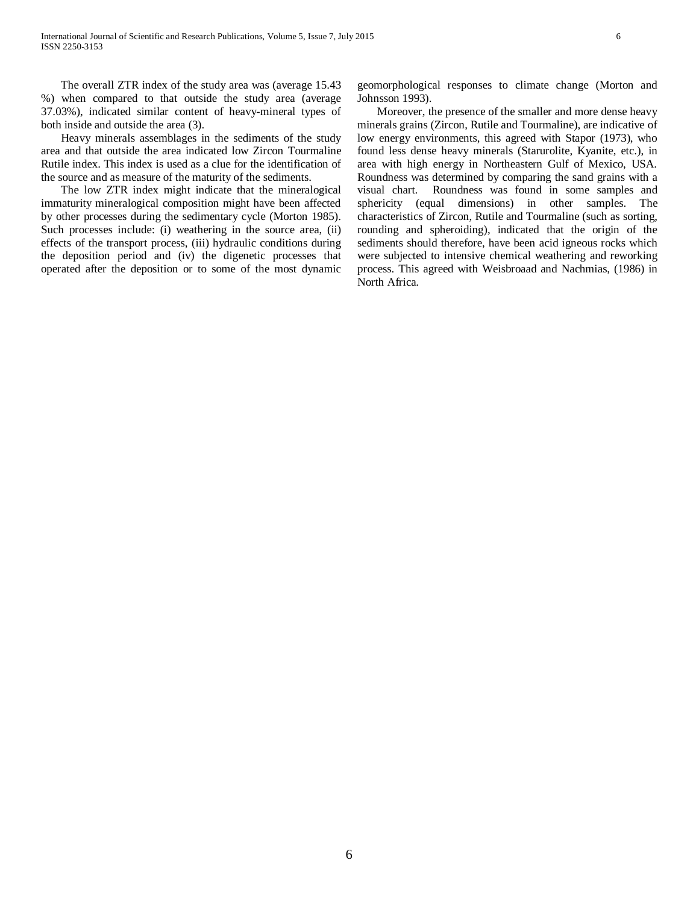The overall ZTR index of the study area was (average 15.43 %) when compared to that outside the study area (average 37.03%), indicated similar content of heavy-mineral types of both inside and outside the area (3).

 Heavy minerals assemblages in the sediments of the study area and that outside the area indicated low Zircon Tourmaline Rutile index. This index is used as a clue for the identification of the source and as measure of the maturity of the sediments.

 The low ZTR index might indicate that the mineralogical immaturity mineralogical composition might have been affected by other processes during the sedimentary cycle (Morton 1985). Such processes include: (i) weathering in the source area, (ii) effects of the transport process, (iii) hydraulic conditions during the deposition period and (iv) the digenetic processes that operated after the deposition or to some of the most dynamic

geomorphological responses to climate change (Morton and Johnsson 1993).

 Moreover, the presence of the smaller and more dense heavy minerals grains (Zircon, Rutile and Tourmaline), are indicative of low energy environments, this agreed with Stapor (1973), who found less dense heavy minerals (Starurolite, Kyanite, etc.), in area with high energy in Northeastern Gulf of Mexico, USA. Roundness was determined by comparing the sand grains with a visual chart. Roundness was found in some samples and sphericity (equal dimensions) in other samples. The characteristics of Zircon, Rutile and Tourmaline (such as sorting, rounding and spheroiding), indicated that the origin of the sediments should therefore, have been acid igneous rocks which were subjected to intensive chemical weathering and reworking process. This agreed with Weisbroaad and Nachmias, (1986) in North Africa.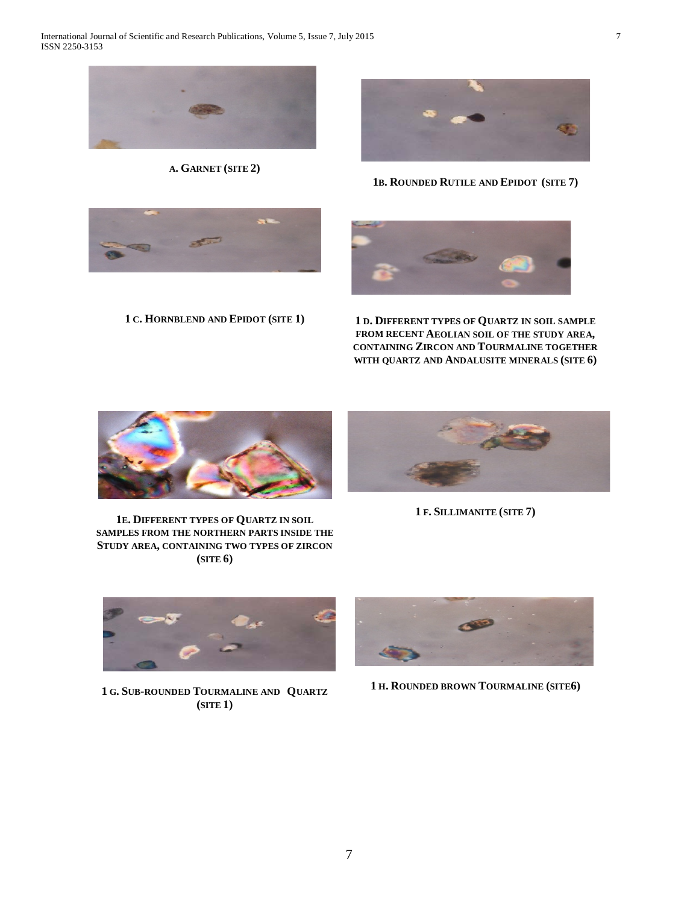

**A. GARNET (SITE 2)**



**1B. ROUNDED RUTILE AND EPIDOT (SITE 7)**





**1 C. HORNBLEND AND EPIDOT (SITE 1) 1 D. DIFFERENT TYPES OF QUARTZ IN SOIL SAMPLE FROM RECENT AEOLIAN SOIL OF THE STUDY AREA, CONTAINING ZIRCON AND TOURMALINE TOGETHER WITH QUARTZ AND ANDALUSITE MINERALS (SITE 6)**



**1E. DIFFERENT TYPES OF QUARTZ IN SOIL SAMPLES FROM THE NORTHERN PARTS INSIDE THE STUDY AREA, CONTAINING TWO TYPES OF ZIRCON (SITE 6)**



**1 F. SILLIMANITE (SITE 7)**



**1 G. SUB-ROUNDED TOURMALINE AND QUARTZ (SITE 1)**



**1 H. ROUNDED BROWN TOURMALINE (SITE6)**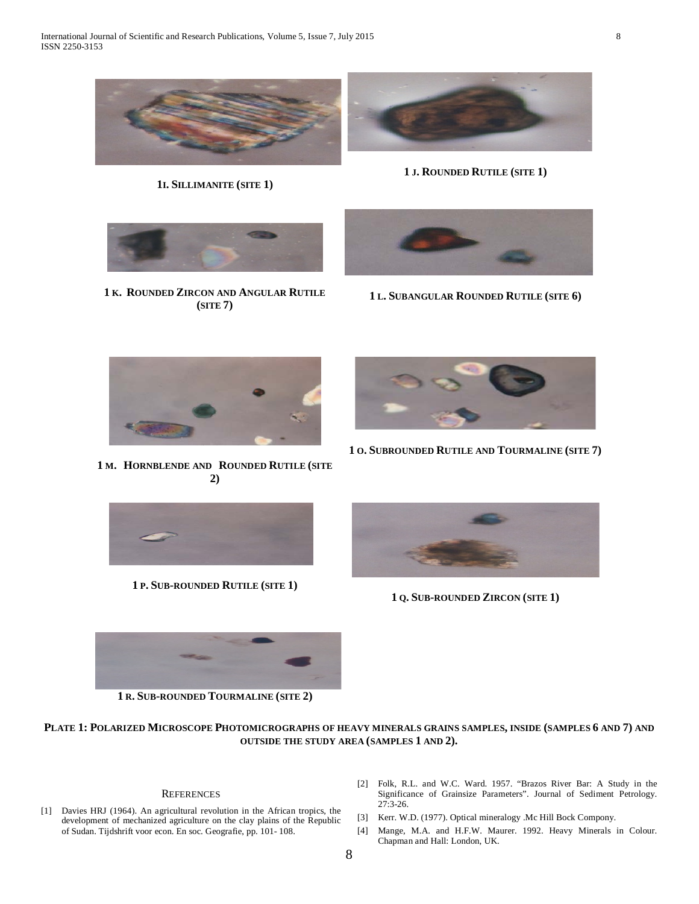

**1I. SILLIMANITE (SITE 1)**



**1 J. ROUNDED RUTILE (SITE 1)**



**1 K. ROUNDED ZIRCON AND ANGULAR RUTILE (SITE 7)**



**1 L. SUBANGULAR ROUNDED RUTILE (SITE 6)**



**1 M. HORNBLENDE AND ROUNDED RUTILE (SITE 2)**



**1 O. SUBROUNDED RUTILE AND TOURMALINE (SITE 7)**



**1 P. SUB-ROUNDED RUTILE (SITE 1)**



**1 Q. SUB-ROUNDED ZIRCON (SITE 1)**



**1 R. SUB-ROUNDED TOURMALINE (SITE 2)**

**PLATE 1: POLARIZED MICROSCOPE PHOTOMICROGRAPHS OF HEAVY MINERALS GRAINS SAMPLES, INSIDE (SAMPLES 6 AND 7) AND OUTSIDE THE STUDY AREA (SAMPLES 1 AND 2).**

#### **REFERENCES**

- [1] Davies HRJ (1964). An agricultural revolution in the African tropics, the development of mechanized agriculture on the clay plains of the Republic of Sudan. Tijdshrift voor econ. En soc. Geografie, pp. 101- 108.
- [2] Folk, R.L. and W.C. Ward. 1957. "Brazos River Bar: A Study in the Significance of Grainsize Parameters". Journal of Sediment Petrology. 27:3-26.
- [3] Kerr. W.D. (1977). Optical mineralogy .Mc Hill Bock Compony.
- [4] Mange, M.A. and H.F.W. Maurer. 1992. Heavy Minerals in Colour. Chapman and Hall: London, UK.